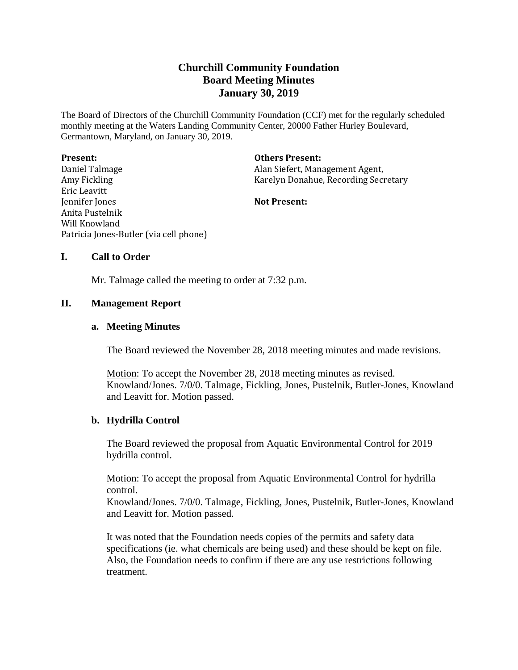# **Churchill Community Foundation Board Meeting Minutes January 30, 2019**

The Board of Directors of the Churchill Community Foundation (CCF) met for the regularly scheduled monthly meeting at the Waters Landing Community Center, 20000 Father Hurley Boulevard, Germantown, Maryland, on January 30, 2019.

| <b>Present:</b>                        | <b>Others Present:</b>               |
|----------------------------------------|--------------------------------------|
| Daniel Talmage                         | Alan Siefert, Management Agent,      |
| Amy Fickling                           | Karelyn Donahue, Recording Secretary |
| Eric Leavitt                           |                                      |
| Jennifer Jones                         | <b>Not Present:</b>                  |
| Anita Pustelnik                        |                                      |
| Will Knowland                          |                                      |
| Patricia Jones-Butler (via cell phone) |                                      |

## **I. Call to Order**

Mr. Talmage called the meeting to order at 7:32 p.m.

## **II. Management Report**

### **a. Meeting Minutes**

The Board reviewed the November 28, 2018 meeting minutes and made revisions.

Motion: To accept the November 28, 2018 meeting minutes as revised. Knowland/Jones. 7/0/0. Talmage, Fickling, Jones, Pustelnik, Butler-Jones, Knowland and Leavitt for. Motion passed.

### **b. Hydrilla Control**

The Board reviewed the proposal from Aquatic Environmental Control for 2019 hydrilla control.

Motion: To accept the proposal from Aquatic Environmental Control for hydrilla control.

Knowland/Jones. 7/0/0. Talmage, Fickling, Jones, Pustelnik, Butler-Jones, Knowland and Leavitt for. Motion passed.

It was noted that the Foundation needs copies of the permits and safety data specifications (ie. what chemicals are being used) and these should be kept on file. Also, the Foundation needs to confirm if there are any use restrictions following treatment.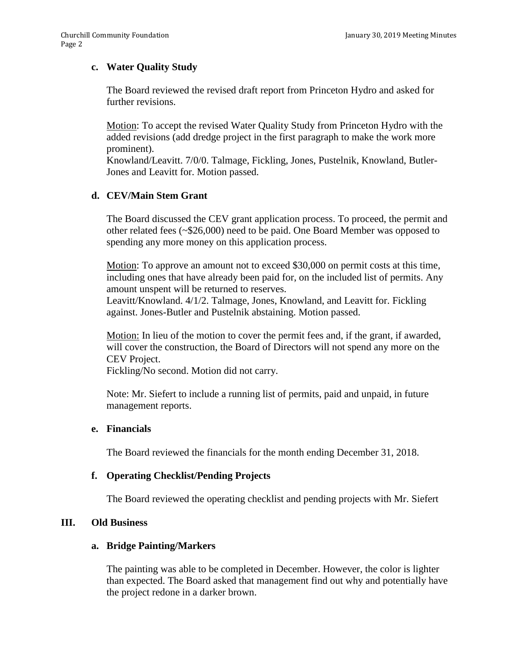## **c. Water Quality Study**

The Board reviewed the revised draft report from Princeton Hydro and asked for further revisions.

Motion: To accept the revised Water Quality Study from Princeton Hydro with the added revisions (add dredge project in the first paragraph to make the work more prominent).

Knowland/Leavitt. 7/0/0. Talmage, Fickling, Jones, Pustelnik, Knowland, Butler-Jones and Leavitt for. Motion passed.

## **d. CEV/Main Stem Grant**

The Board discussed the CEV grant application process. To proceed, the permit and other related fees (~\$26,000) need to be paid. One Board Member was opposed to spending any more money on this application process.

Motion: To approve an amount not to exceed \$30,000 on permit costs at this time, including ones that have already been paid for, on the included list of permits. Any amount unspent will be returned to reserves.

Leavitt/Knowland. 4/1/2. Talmage, Jones, Knowland, and Leavitt for. Fickling against. Jones-Butler and Pustelnik abstaining. Motion passed.

Motion: In lieu of the motion to cover the permit fees and, if the grant, if awarded, will cover the construction, the Board of Directors will not spend any more on the CEV Project.

Fickling/No second. Motion did not carry.

Note: Mr. Siefert to include a running list of permits, paid and unpaid, in future management reports.

### **e. Financials**

The Board reviewed the financials for the month ending December 31, 2018.

### **f. Operating Checklist/Pending Projects**

The Board reviewed the operating checklist and pending projects with Mr. Siefert

### **III. Old Business**

### **a. Bridge Painting/Markers**

The painting was able to be completed in December. However, the color is lighter than expected. The Board asked that management find out why and potentially have the project redone in a darker brown.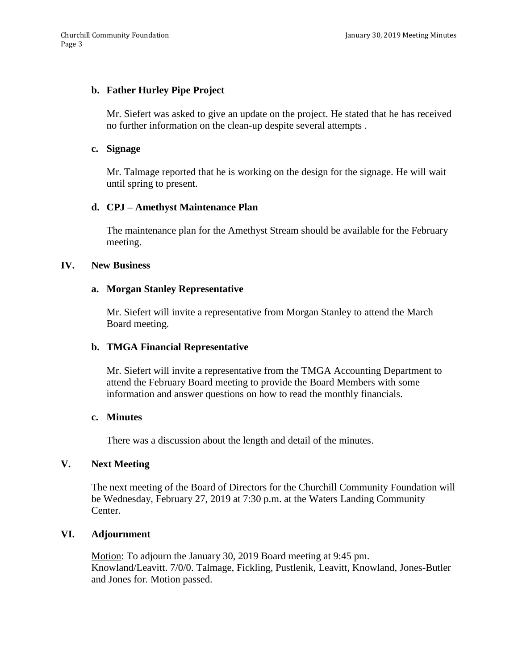## **b. Father Hurley Pipe Project**

Mr. Siefert was asked to give an update on the project. He stated that he has received no further information on the clean-up despite several attempts .

#### **c. Signage**

Mr. Talmage reported that he is working on the design for the signage. He will wait until spring to present.

### **d. CPJ – Amethyst Maintenance Plan**

The maintenance plan for the Amethyst Stream should be available for the February meeting.

### **IV. New Business**

### **a. Morgan Stanley Representative**

Mr. Siefert will invite a representative from Morgan Stanley to attend the March Board meeting.

### **b. TMGA Financial Representative**

Mr. Siefert will invite a representative from the TMGA Accounting Department to attend the February Board meeting to provide the Board Members with some information and answer questions on how to read the monthly financials.

#### **c. Minutes**

There was a discussion about the length and detail of the minutes.

### **V. Next Meeting**

The next meeting of the Board of Directors for the Churchill Community Foundation will be Wednesday, February 27, 2019 at 7:30 p.m. at the Waters Landing Community Center.

### **VI. Adjournment**

Motion: To adjourn the January 30, 2019 Board meeting at 9:45 pm. Knowland/Leavitt. 7/0/0. Talmage, Fickling, Pustlenik, Leavitt, Knowland, Jones-Butler and Jones for. Motion passed.